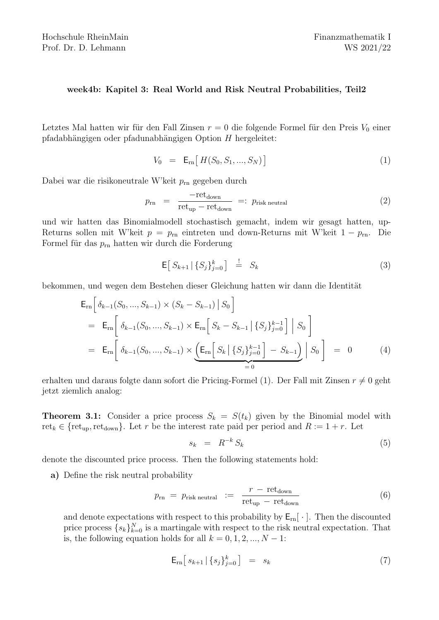## week4b: Kapitel 3: Real World and Risk Neutral Probabilities, Teil2

Letztes Mal hatten wir für den Fall Zinsen  $r = 0$  die folgende Formel für den Preis  $V_0$  einer pfadabhängigen oder pfadunabhängigen Option  $H$  hergeleitet:

$$
V_0 = \mathsf{E}_{\rm rn} \big[ \, H(S_0, S_1, ..., S_N) \, \big] \tag{1}
$$

Dabei war die risikoneutrale W'keit  $p_{\text{rn}}$  gegeben durch

$$
p_{\rm rn} = \frac{-\text{ret}_{\rm down}}{\text{ret}_{\rm up} - \text{ret}_{\rm down}} =: p_{\rm risk \text{ neutral}} \tag{2}
$$

und wir hatten das Binomialmodell stochastisch gemacht, indem wir gesagt hatten, up-Returns sollen mit W'keit  $p = p_{\text{rn}}$  eintreten und down-Returns mit W'keit  $1 - p_{\text{rn}}$ . Die Formel für das  $p_{\rm rn}$  hatten wir durch die Forderung

$$
\mathsf{E}\big[\,S_{k+1}\,\big|\,\{S_j\}_{j=0}^k\,\big]\quad\stackrel{!}{=} \quad S_k\tag{3}
$$

bekommen, und wegen dem Bestehen dieser Gleichung hatten wir dann die Identität

$$
\mathsf{E}_{\rm rn} \Big[ \delta_{k-1}(S_0, ..., S_{k-1}) \times (S_k - S_{k-1}) \, \Big| \, S_0 \Big]
$$
\n
$$
= \mathsf{E}_{\rm rn} \Big[ \delta_{k-1}(S_0, ..., S_{k-1}) \times \mathsf{E}_{\rm rn} \Big[ \, S_k - S_{k-1} \, \Big| \, \{ S_j \}_{j=0}^{k-1} \, \Big] \, \Big| \, S_0 \Big]
$$
\n
$$
= \mathsf{E}_{\rm rn} \Big[ \, \delta_{k-1}(S_0, ..., S_{k-1}) \times \underbrace{\Big( \mathsf{E}_{\rm rn} \Big[ \, S_k \, \Big| \, \{ S_j \}_{j=0}^{k-1} \, \Big] - S_{k-1} \Big)}_{=0} \Big| \, S_0 \Big] = 0 \tag{4}
$$

erhalten und daraus folgte dann sofort die Pricing-Formel (1). Der Fall mit Zinsen  $r \neq 0$  geht jetzt ziemlich analog:

**Theorem 3.1:** Consider a price process  $S_k = S(t_k)$  given by the Binomial model with ret<sub>k</sub>  $\in$  {ret<sub>up</sub>, ret<sub>down</sub>}. Let r be the interest rate paid per period and  $R := 1 + r$ . Let

$$
s_k = R^{-k} S_k \tag{5}
$$

denote the discounted price process. Then the following statements hold:

a) Define the risk neutral probability

$$
p_{\rm rn} = p_{\rm risk \; neutral} \ \ \mathrel{\mathop:}= \ \ \frac{r - {\rm ret}_{\rm down}}{\rm ret}_{\rm up} - {\rm ret}_{\rm down} \tag{6}
$$

and denote expectations with respect to this probability by  $E_{rn}[\cdot]$ . Then the discounted price process  $\{s_k\}_{k=0}^N$  is a martingale with respect to the risk neutral expectation. That is, the following equation holds for all  $k = 0, 1, 2, ..., N - 1$ :

$$
\mathsf{E}_{\mathrm{rn}}\big[\,s_{k+1}\,|\,\{s_j\}_{j=0}^k\,\big]\quad =\quad s_k\tag{7}
$$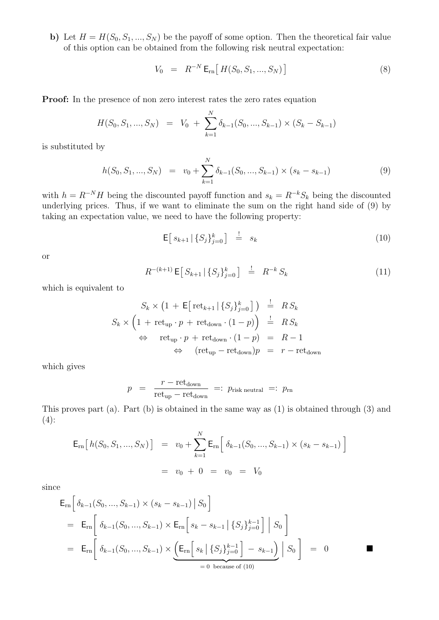b) Let  $H = H(S_0, S_1, ..., S_N)$  be the payoff of some option. Then the theoretical fair value of this option can be obtained from the following risk neutral expectation:

$$
V_0 = R^{-N} \mathsf{E}_{\rm rn} \big[ H(S_0, S_1, ..., S_N) \big] \tag{8}
$$

Proof: In the presence of non zero interest rates the zero rates equation

$$
H(S_0, S_1, ..., S_N) = V_0 + \sum_{k=1}^{N} \delta_{k-1}(S_0, ..., S_{k-1}) \times (S_k - S_{k-1})
$$

is substituted by

$$
h(S_0, S_1, ..., S_N) = v_0 + \sum_{k=1}^{N} \delta_{k-1}(S_0, ..., S_{k-1}) \times (s_k - s_{k-1})
$$
\n(9)

with  $h = R^{-N}H$  being the discounted payoff function and  $s_k = R^{-k}S_k$  being the discounted underlying prices. Thus, if we want to eliminate the sum on the right hand side of (9) by taking an expectation value, we need to have the following property:

$$
\mathsf{E}\big[\,s_{k+1}\,|\,\{S_j\}_{j=0}^k\big]\quad\stackrel{!}{=}\quad s_k\tag{10}
$$

or

$$
R^{-(k+1)} \mathsf{E} \big[ \, S_{k+1} \, | \, \{ S_j \}_{j=0}^k \, \big] \quad \stackrel{!}{=} \quad R^{-k} \, S_k \tag{11}
$$

which is equivalent to

$$
S_k \times \left(1 + \mathsf{E}\left[\text{ret}_{k+1} \,|\, \{S_j\}_{j=0}^k\right]\right) \stackrel{!}{=} RS_k
$$
  

$$
S_k \times \left(1 + \text{ret}_{\text{up}} \cdot p + \text{ret}_{\text{down}} \cdot (1 - p)\right) \stackrel{!}{=} RS_k
$$
  

$$
\Leftrightarrow \text{ret}_{\text{up}} \cdot p + \text{ret}_{\text{down}} \cdot (1 - p) = R - 1
$$
  

$$
\Leftrightarrow (\text{ret}_{\text{up}} - \text{ret}_{\text{down}})p = r - \text{ret}_{\text{down}}
$$

which gives

$$
p = \frac{r - \text{ret}_{\text{down}}}{\text{ret}_{\text{up}} - \text{ret}_{\text{down}}} =: p_{\text{risk neutral}} =: p_{\text{rn}}
$$

This proves part (a). Part (b) is obtained in the same way as (1) is obtained through (3) and  $(4)$ :

$$
\mathsf{E}_{\rm rn}\big[h(S_0, S_1, ..., S_N)\big] = v_0 + \sum_{k=1}^N \mathsf{E}_{\rm rn}\big[\delta_{k-1}(S_0, ..., S_{k-1}) \times (s_k - s_{k-1})\big]
$$
  
=  $v_0 + 0 = v_0 = V_0$ 

since

$$
\mathsf{E}_{\rm rn} \Big[ \delta_{k-1}(S_0, ..., S_{k-1}) \times (s_k - s_{k-1}) \, \big| \, S_0 \Big]
$$
\n
$$
= \mathsf{E}_{\rm rn} \Big[ \delta_{k-1}(S_0, ..., S_{k-1}) \times \mathsf{E}_{\rm rn} \Big[ s_k - s_{k-1} \, \big| \, \{ S_j \}_{j=0}^{k-1} \Big] \, \big| \, S_0 \Big]
$$
\n
$$
= \mathsf{E}_{\rm rn} \Big[ \delta_{k-1}(S_0, ..., S_{k-1}) \times \underbrace{\Big( \mathsf{E}_{\rm rn} \Big[ s_k \, \big| \, \{ S_j \}_{j=0}^{k-1} \Big] - s_{k-1} \Big)}_{=0 \text{ because of (10)}} \Big| \, S_0 \Big] = 0
$$